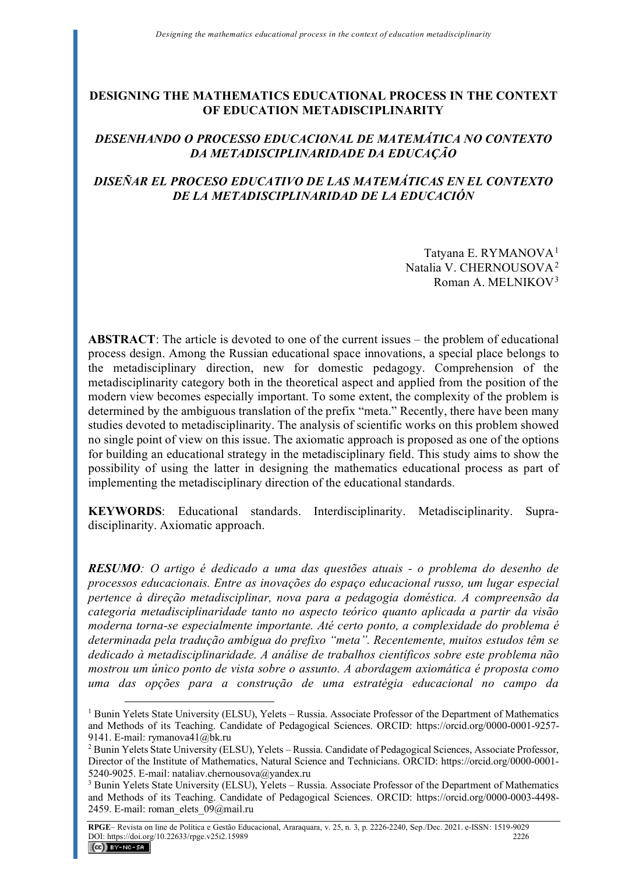# **DESIGNING THE MATHEMATICS EDUCATIONAL PROCESS IN THE CONTEXT OF EDUCATION METADISCIPLINARITY**

# *DESENHANDO O PROCESSO EDUCACIONAL DE MATEMÁTICA NO CONTEXTO DA METADISCIPLINARIDADE DA EDUCAÇÃO*

# *DISEÑAR EL PROCESO EDUCATIVO DE LAS MATEMÁTICAS EN EL CONTEXTO DE LA METADISCIPLINARIDAD DE LA EDUCACIÓN*

Tatyana E. RYMANOVA<sup>[1](#page-0-0)</sup> Natalia V. CHERNOUSOVA[2](#page-0-1) Roman A. MELNIKOV[3](#page-0-2)

**ABSTRACT**: The article is devoted to one of the current issues – the problem of educational process design. Among the Russian educational space innovations, a special place belongs to the metadisciplinary direction, new for domestic pedagogy. Comprehension of the metadisciplinarity category both in the theoretical aspect and applied from the position of the modern view becomes especially important. To some extent, the complexity of the problem is determined by the ambiguous translation of the prefix "meta." Recently, there have been many studies devoted to metadisciplinarity. The analysis of scientific works on this problem showed no single point of view on this issue. The axiomatic approach is proposed as one of the options for building an educational strategy in the metadisciplinary field. This study aims to show the possibility of using the latter in designing the mathematics educational process as part of implementing the metadisciplinary direction of the educational standards.

**KEYWORDS**: Educational standards. Interdisciplinarity. Metadisciplinarity. Supradisciplinarity. Axiomatic approach.

*RESUMO: O artigo é dedicado a uma das questões atuais - o problema do desenho de processos educacionais. Entre as inovações do espaço educacional russo, um lugar especial pertence à direção metadisciplinar, nova para a pedagogia doméstica. A compreensão da categoria metadisciplinaridade tanto no aspecto teórico quanto aplicada a partir da visão moderna torna-se especialmente importante. Até certo ponto, a complexidade do problema é determinada pela tradução ambígua do prefixo "meta". Recentemente, muitos estudos têm se dedicado à metadisciplinaridade. A análise de trabalhos científicos sobre este problema não mostrou um único ponto de vista sobre o assunto. A abordagem axiomática é proposta como uma das opções para a construção de uma estratégia educacional no campo da* 

<span id="page-0-0"></span><sup>&</sup>lt;sup>1</sup> Bunin Yelets State University (ELSU), Yelets – Russia. Associate Professor of the Department of Mathematics and Methods of its Teaching. Candidate of Pedagogical Sciences. ORCID: https://orcid.org/0000-0001-9257- 9141. E-mail: rymanova41@bk.ru

<span id="page-0-1"></span><sup>2</sup> Bunin Yelets State University (ELSU), Yelets – Russia. Candidate of Pedagogical Sciences, Associate Professor, Director of the Institute of Mathematics, Natural Science and Technicians. ORCID: https://orcid.org/0000-0001- 5240-9025. Е-mail: nataliav.chernousova@yandex.ru

<span id="page-0-2"></span><sup>&</sup>lt;sup>3</sup> Bunin Yelets State University (ELSU), Yelets – Russia. Associate Professor of the Department of Mathematics and Methods of its Teaching. Candidate of Pedagogical Sciences. ORCID: https://orcid.org/0000-0003-4498- 2459. E-mail: roman\_elets\_09@mail.ru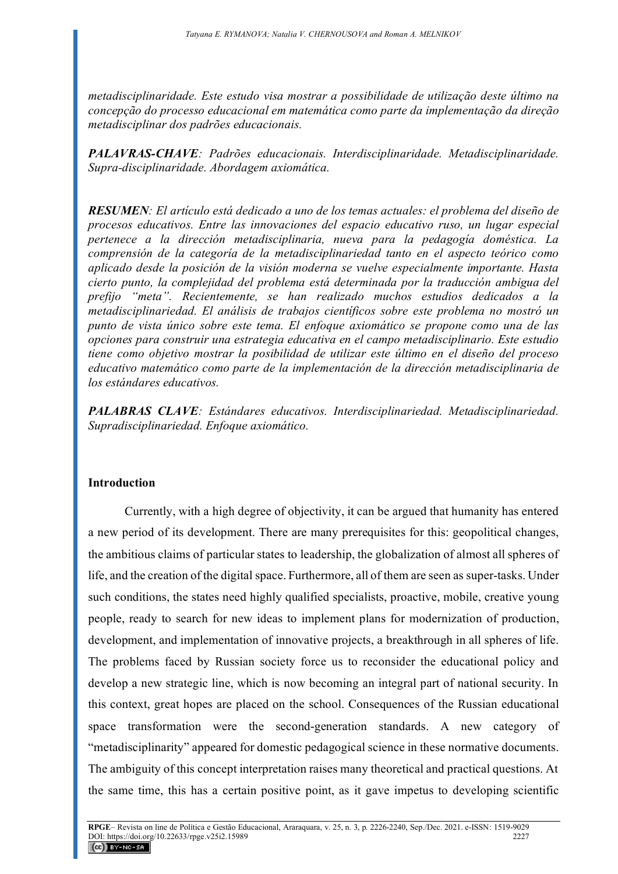*metadisciplinaridade. Este estudo visa mostrar a possibilidade de utilização deste último na concepção do processo educacional em matemática como parte da implementação da direção metadisciplinar dos padrões educacionais.*

*PALAVRAS-CHAVE: Padrões educacionais. Interdisciplinaridade. Metadisciplinaridade. Supra-disciplinaridade. Abordagem axiomática.*

*RESUMEN: El artículo está dedicado a uno de los temas actuales: el problema del diseño de procesos educativos. Entre las innovaciones del espacio educativo ruso, un lugar especial pertenece a la dirección metadisciplinaria, nueva para la pedagogía doméstica. La comprensión de la categoría de la metadisciplinariedad tanto en el aspecto teórico como aplicado desde la posición de la visión moderna se vuelve especialmente importante. Hasta cierto punto, la complejidad del problema está determinada por la traducción ambigua del prefijo "meta". Recientemente, se han realizado muchos estudios dedicados a la metadisciplinariedad. El análisis de trabajos científicos sobre este problema no mostró un punto de vista único sobre este tema. El enfoque axiomático se propone como una de las opciones para construir una estrategia educativa en el campo metadisciplinario. Este estudio tiene como objetivo mostrar la posibilidad de utilizar este último en el diseño del proceso educativo matemático como parte de la implementación de la dirección metadisciplinaria de los estándares educativos.*

*PALABRAS CLAVE: Estándares educativos. Interdisciplinariedad. Metadisciplinariedad. Supradisciplinariedad. Enfoque axiomático.*

## **Introduction**

Currently, with a high degree of objectivity, it can be argued that humanity has entered a new period of its development. There are many prerequisites for this: geopolitical changes, the ambitious claims of particular states to leadership, the globalization of almost all spheres of life, and the creation of the digital space. Furthermore, all of them are seen as super-tasks. Under such conditions, the states need highly qualified specialists, proactive, mobile, creative young people, ready to search for new ideas to implement plans for modernization of production, development, and implementation of innovative projects, a breakthrough in all spheres of life. The problems faced by Russian society force us to reconsider the educational policy and develop a new strategic line, which is now becoming an integral part of national security. In this context, great hopes are placed on the school. Consequences of the Russian educational space transformation were the second-generation standards. A new category of "metadisciplinarity" appeared for domestic pedagogical science in these normative documents. The ambiguity of this concept interpretation raises many theoretical and practical questions. At the same time, this has a certain positive point, as it gave impetus to developing scientific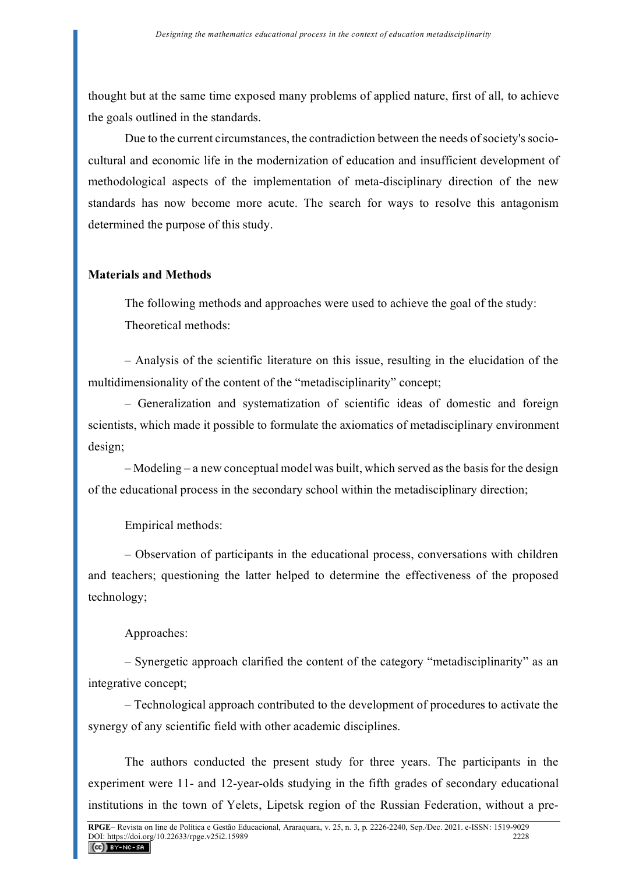thought but at the same time exposed many problems of applied nature, first of all, to achieve the goals outlined in the standards.

Due to the current circumstances, the contradiction between the needs of society's sociocultural and economic life in the modernization of education and insufficient development of methodological aspects of the implementation of meta-disciplinary direction of the new standards has now become more acute. The search for ways to resolve this antagonism determined the purpose of this study.

## **Materials and Methods**

The following methods and approaches were used to achieve the goal of the study: Theoretical methods:

– Analysis of the scientific literature on this issue, resulting in the elucidation of the multidimensionality of the content of the "metadisciplinarity" concept;

– Generalization and systematization of scientific ideas of domestic and foreign scientists, which made it possible to formulate the axiomatics of metadisciplinary environment design;

– Modeling – a new conceptual model was built, which served as the basis for the design of the educational process in the secondary school within the metadisciplinary direction;

Empirical methods:

– Observation of participants in the educational process, conversations with children and teachers; questioning the latter helped to determine the effectiveness of the proposed technology;

# Approaches:

– Synergetic approach clarified the content of the category "metadisciplinarity" as an integrative concept;

– Technological approach contributed to the development of procedures to activate the synergy of any scientific field with other academic disciplines.

The authors conducted the present study for three years. The participants in the experiment were 11- and 12-year-olds studying in the fifth grades of secondary educational institutions in the town of Yelets, Lipetsk region of the Russian Federation, without a pre-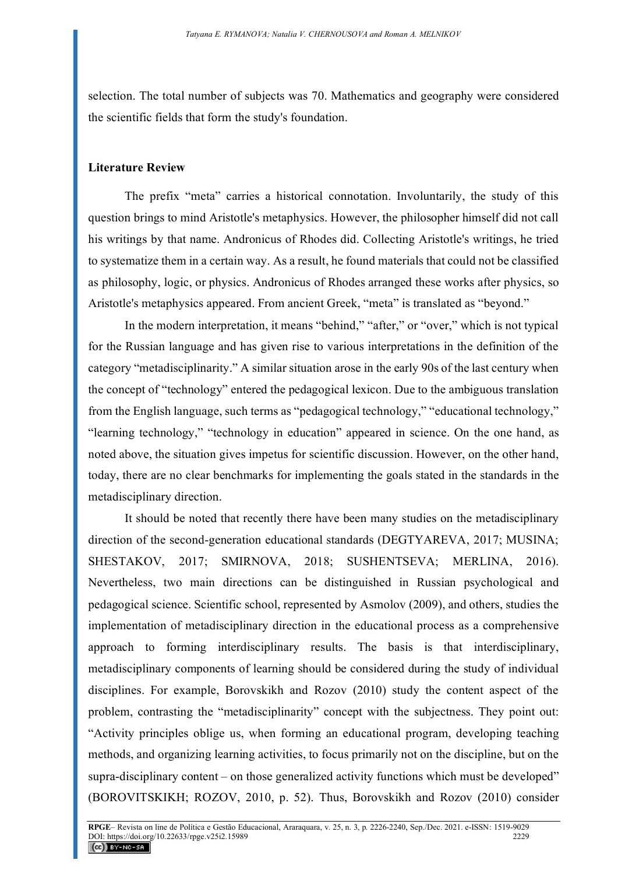selection. The total number of subjects was 70. Mathematics and geography were considered the scientific fields that form the study's foundation.

## **Literature Review**

The prefix "meta" carries a historical connotation. Involuntarily, the study of this question brings to mind Aristotle's metaphysics. However, the philosopher himself did not call his writings by that name. Andronicus of Rhodes did. Collecting Aristotle's writings, he tried to systematize them in a certain way. As a result, he found materials that could not be classified as philosophy, logic, or physics. Andronicus of Rhodes arranged these works after physics, so Aristotle's metaphysics appeared. From ancient Greek, "meta" is translated as "beyond."

In the modern interpretation, it means "behind," "after," or "over," which is not typical for the Russian language and has given rise to various interpretations in the definition of the category "metadisciplinarity." A similar situation arose in the early 90s of the last century when the concept of "technology" entered the pedagogical lexicon. Due to the ambiguous translation from the English language, such terms as "pedagogical technology," "educational technology," "learning technology," "technology in education" appeared in science. On the one hand, as noted above, the situation gives impetus for scientific discussion. However, on the other hand, today, there are no clear benchmarks for implementing the goals stated in the standards in the metadisciplinary direction.

It should be noted that recently there have been many studies on the metadisciplinary direction of the second-generation educational standards (DEGTYAREVA, 2017; MUSINA; SHESTAKOV, 2017; SMIRNOVA, 2018; SUSHENTSEVA; MERLINA, 2016). Nevertheless, two main directions can be distinguished in Russian psychological and pedagogical science. Scientific school, represented by Asmolov (2009), and others, studies the implementation of metadisciplinary direction in the educational process as a comprehensive approach to forming interdisciplinary results. The basis is that interdisciplinary, metadisciplinary components of learning should be considered during the study of individual disciplines. For example, Borovskikh and Rozov (2010) study the content aspect of the problem, contrasting the "metadisciplinarity" concept with the subjectness. They point out: "Activity principles oblige us, when forming an educational program, developing teaching methods, and organizing learning activities, to focus primarily not on the discipline, but on the supra-disciplinary content – on those generalized activity functions which must be developed" (BOROVITSKIKH; ROZOV, 2010, p. 52). Thus, Borovskikh and Rozov (2010) consider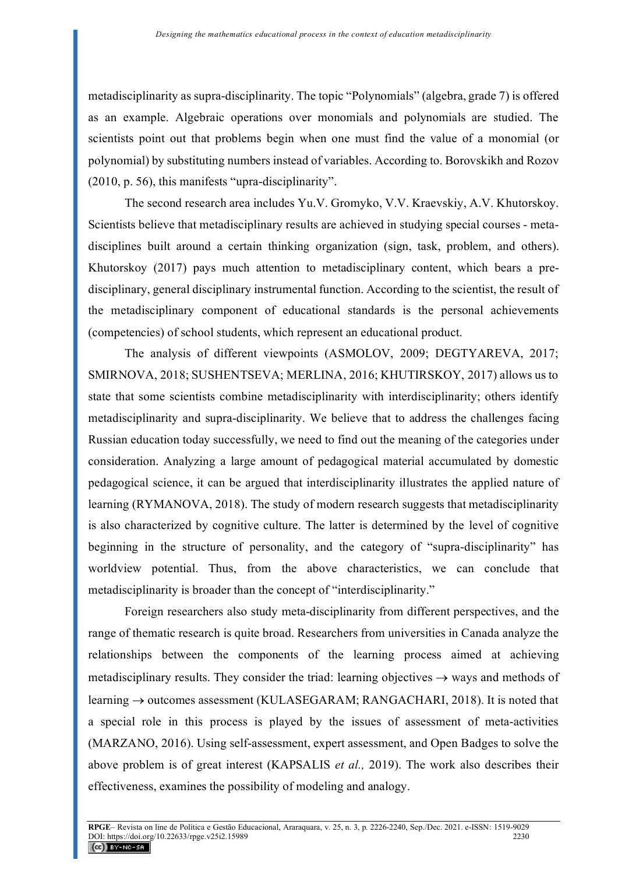metadisciplinarity as supra-disciplinarity. The topic "Polynomials" (algebra, grade 7) is offered as an example. Algebraic operations over monomials and polynomials are studied. The scientists point out that problems begin when one must find the value of a monomial (or polynomial) by substituting numbers instead of variables. According to. Borovskikh and Rozov (2010, p. 56), this manifests "upra-disciplinarity".

The second research area includes Yu.V. Gromyko, V.V. Kraevskiy, A.V. Khutorskoy. Scientists believe that metadisciplinary results are achieved in studying special courses - metadisciplines built around a certain thinking organization (sign, task, problem, and others). Khutorskoy (2017) pays much attention to metadisciplinary content, which bears a predisciplinary, general disciplinary instrumental function. According to the scientist, the result of the metadisciplinary component of educational standards is the personal achievements (competencies) of school students, which represent an educational product.

The analysis of different viewpoints (ASMOLOV, 2009; DEGTYAREVA, 2017; SMIRNOVA, 2018; SUSHENTSEVA; MERLINA, 2016; KHUTIRSKOY, 2017) allows us to state that some scientists combine metadisciplinarity with interdisciplinarity; others identify metadisciplinarity and supra-disciplinarity. We believe that to address the challenges facing Russian education today successfully, we need to find out the meaning of the categories under consideration. Analyzing a large amount of pedagogical material accumulated by domestic pedagogical science, it can be argued that interdisciplinarity illustrates the applied nature of learning (RYMANOVA, 2018). The study of modern research suggests that metadisciplinarity is also characterized by cognitive culture. The latter is determined by the level of cognitive beginning in the structure of personality, and the category of "supra-disciplinarity" has worldview potential. Thus, from the above characteristics, we can conclude that metadisciplinarity is broader than the concept of "interdisciplinarity."

Foreign researchers also study meta-disciplinarity from different perspectives, and the range of thematic research is quite broad. Researchers from universities in Canada analyze the relationships between the components of the learning process aimed at achieving metadisciplinary results. They consider the triad: learning objectives  $\rightarrow$  ways and methods of learning → outcomes assessment (KULASEGARAM; RANGACHARI, 2018). It is noted that a special role in this process is played by the issues of assessment of meta-activities (MARZANO, 2016). Using self-assessment, expert assessment, and Open Badges to solve the above problem is of great interest (KAPSALIS *et al.,* 2019). The work also describes their effectiveness, examines the possibility of modeling and analogy.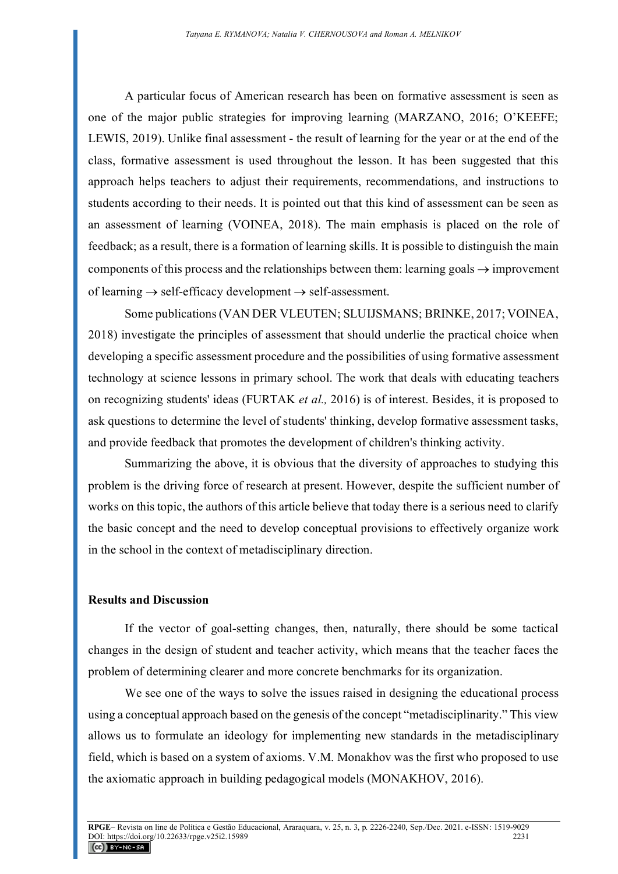A particular focus of American research has been on formative assessment is seen as one of the major public strategies for improving learning (MARZANO, 2016; O'KEEFE; LEWIS, 2019). Unlike final assessment - the result of learning for the year or at the end of the class, formative assessment is used throughout the lesson. It has been suggested that this approach helps teachers to adjust their requirements, recommendations, and instructions to students according to their needs. It is pointed out that this kind of assessment can be seen as an assessment of learning (VOINEA, 2018). The main emphasis is placed on the role of feedback; as a result, there is a formation of learning skills. It is possible to distinguish the main components of this process and the relationships between them: learning goals  $\rightarrow$  improvement of learning  $\rightarrow$  self-efficacy development  $\rightarrow$  self-assessment.

Some publications (VAN DER VLEUTEN; SLUIJSMANS; BRINKE, 2017; VOINEA, 2018) investigate the principles of assessment that should underlie the practical choice when developing a specific assessment procedure and the possibilities of using formative assessment technology at science lessons in primary school. The work that deals with educating teachers on recognizing students' ideas (FURTAK *et al.,* 2016) is of interest. Besides, it is proposed to ask questions to determine the level of students' thinking, develop formative assessment tasks, and provide feedback that promotes the development of children's thinking activity.

Summarizing the above, it is obvious that the diversity of approaches to studying this problem is the driving force of research at present. However, despite the sufficient number of works on this topic, the authors of this article believe that today there is a serious need to clarify the basic concept and the need to develop conceptual provisions to effectively organize work in the school in the context of metadisciplinary direction.

#### **Results and Discussion**

If the vector of goal-setting changes, then, naturally, there should be some tactical changes in the design of student and teacher activity, which means that the teacher faces the problem of determining clearer and more concrete benchmarks for its organization.

We see one of the ways to solve the issues raised in designing the educational process using a conceptual approach based on the genesis of the concept "metadisciplinarity." This view allows us to formulate an ideology for implementing new standards in the metadisciplinary field, which is based on a system of axioms. V.M. Monakhov was the first who proposed to use the axiomatic approach in building pedagogical models (MONAKHOV, 2016).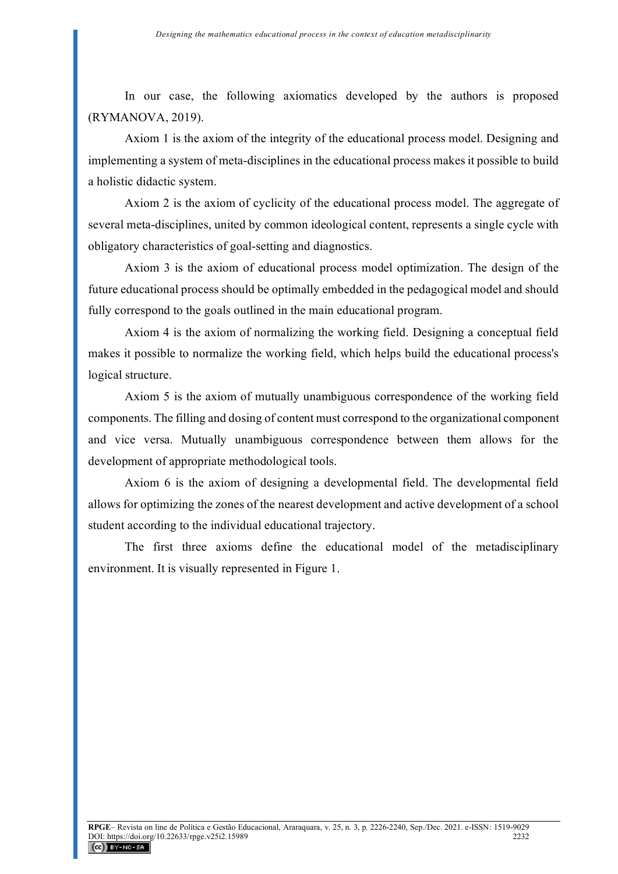In our case, the following axiomatics developed by the authors is proposed (RYMANOVA, 2019).

Axiom 1 is the axiom of the integrity of the educational process model. Designing and implementing a system of meta-disciplines in the educational process makes it possible to build a holistic didactic system.

Axiom 2 is the axiom of cyclicity of the educational process model. The aggregate of several meta-disciplines, united by common ideological content, represents a single cycle with obligatory characteristics of goal-setting and diagnostics.

Axiom 3 is the axiom of educational process model optimization. The design of the future educational process should be optimally embedded in the pedagogical model and should fully correspond to the goals outlined in the main educational program.

Axiom 4 is the axiom of normalizing the working field. Designing a conceptual field makes it possible to normalize the working field, which helps build the educational process's logical structure.

Axiom 5 is the axiom of mutually unambiguous correspondence of the working field components. The filling and dosing of content must correspond to the organizational component and vice versa. Mutually unambiguous correspondence between them allows for the development of appropriate methodological tools.

Axiom 6 is the axiom of designing a developmental field. The developmental field allows for optimizing the zones of the nearest development and active development of a school student according to the individual educational trajectory.

The first three axioms define the educational model of the metadisciplinary environment. It is visually represented in Figure 1.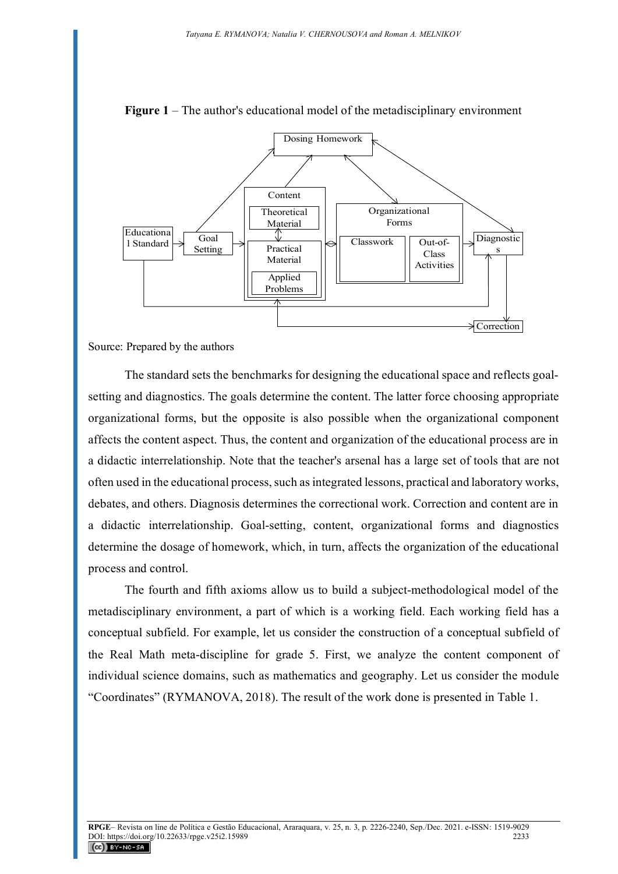

**Figure 1** – The author's educational model of the metadisciplinary environment

Source: Prepared by the authors

The standard sets the benchmarks for designing the educational space and reflects goalsetting and diagnostics. The goals determine the content. The latter force choosing appropriate organizational forms, but the opposite is also possible when the organizational component affects the content aspect. Thus, the content and organization of the educational process are in a didactic interrelationship. Note that the teacher's arsenal has a large set of tools that are not often used in the educational process, such as integrated lessons, practical and laboratory works, debates, and others. Diagnosis determines the correctional work. Correction and content are in a didactic interrelationship. Goal-setting, content, organizational forms and diagnostics determine the dosage of homework, which, in turn, affects the organization of the educational process and control.

The fourth and fifth axioms allow us to build a subject-methodological model of the metadisciplinary environment, a part of which is a working field. Each working field has a conceptual subfield. For example, let us consider the construction of a conceptual subfield of the Real Math meta-discipline for grade 5. First, we analyze the content component of individual science domains, such as mathematics and geography. Let us consider the module "Coordinates" (RYMANOVA, 2018). The result of the work done is presented in Table 1.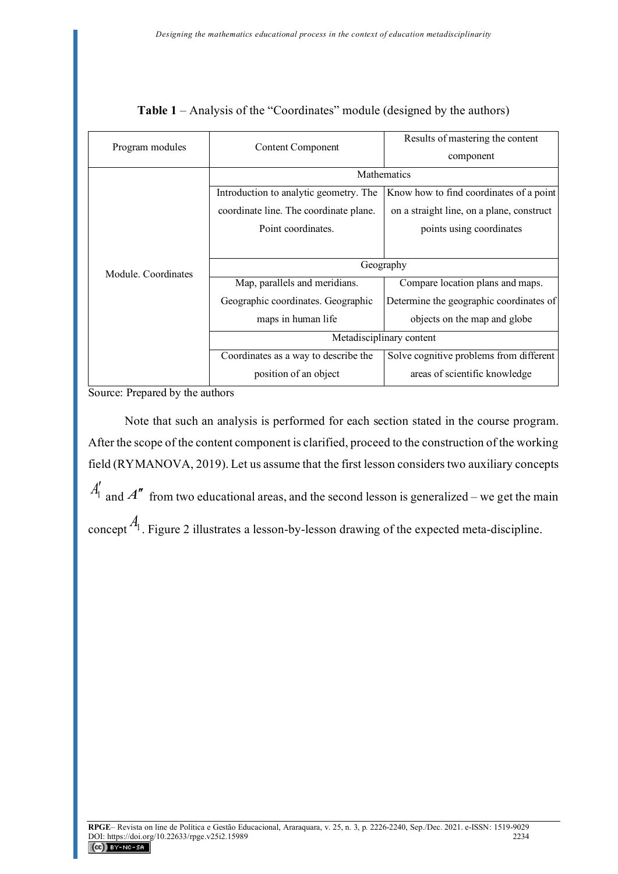| Program modules     | <b>Content Component</b>               | Results of mastering the content          |  |  |  |
|---------------------|----------------------------------------|-------------------------------------------|--|--|--|
|                     |                                        | component                                 |  |  |  |
|                     | Mathematics                            |                                           |  |  |  |
|                     | Introduction to analytic geometry. The | Know how to find coordinates of a point   |  |  |  |
|                     | coordinate line. The coordinate plane. | on a straight line, on a plane, construct |  |  |  |
|                     | Point coordinates.                     | points using coordinates                  |  |  |  |
|                     |                                        |                                           |  |  |  |
| Module. Coordinates | Geography                              |                                           |  |  |  |
|                     | Map, parallels and meridians.          | Compare location plans and maps.          |  |  |  |
|                     | Geographic coordinates. Geographic     | Determine the geographic coordinates of   |  |  |  |
|                     | maps in human life                     | objects on the map and globe              |  |  |  |
|                     | Metadisciplinary content               |                                           |  |  |  |
|                     | Coordinates as a way to describe the   | Solve cognitive problems from different   |  |  |  |
|                     | position of an object                  | areas of scientific knowledge             |  |  |  |

**Table 1** – Analysis of the "Coordinates" module (designed by the authors)

Source: Prepared by the authors

Note that such an analysis is performed for each section stated in the course program. After the scope of the content component is clarified, proceed to the construction of the working field (RYMANOVA, 2019). Let us assume that the first lesson considers two auxiliary concepts  $A'_1$  and  $A''$  from two educational areas, and the second lesson is generalized – we get the main concept <sup>A<sub>1</sub></sup>. Figure 2 illustrates a lesson-by-lesson drawing of the expected meta-discipline.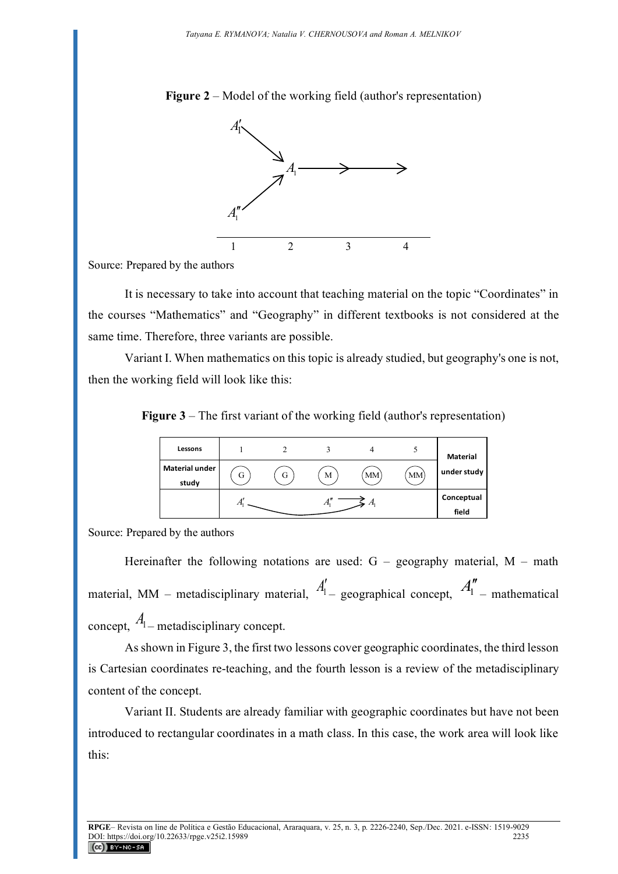**Figure 2** – Model of the working field (author's representation)



Source: Prepared by the authors

It is necessary to take into account that teaching material on the topic "Coordinates" in the courses "Mathematics" and "Geography" in different textbooks is not considered at the same time. Therefore, three variants are possible.

Variant I. When mathematics on this topic is already studied, but geography's one is not, then the working field will look like this:

**Figure 3** – The first variant of the working field (author's representation)

| Lessons                        |   |   |   |           |    | <b>Material</b>     |
|--------------------------------|---|---|---|-----------|----|---------------------|
| <b>Material under</b><br>study | G | G | M | <b>MM</b> | MM | under study         |
|                                |   |   |   |           |    | Conceptual<br>field |

Source: Prepared by the authors

Hereinafter the following notations are used:  $G -$  geography material,  $M -$  math material, MM – metadisciplinary material,  $A'_{1}$  geographical concept,  $A''_{1}$  – mathematical concept,  $A_1$  – metadisciplinary concept.

As shown in Figure 3, the first two lessons cover geographic coordinates, the third lesson is Cartesian coordinates re-teaching, and the fourth lesson is a review of the metadisciplinary content of the concept.

Variant II. Students are already familiar with geographic coordinates but have not been introduced to rectangular coordinates in a math class. In this case, the work area will look like this: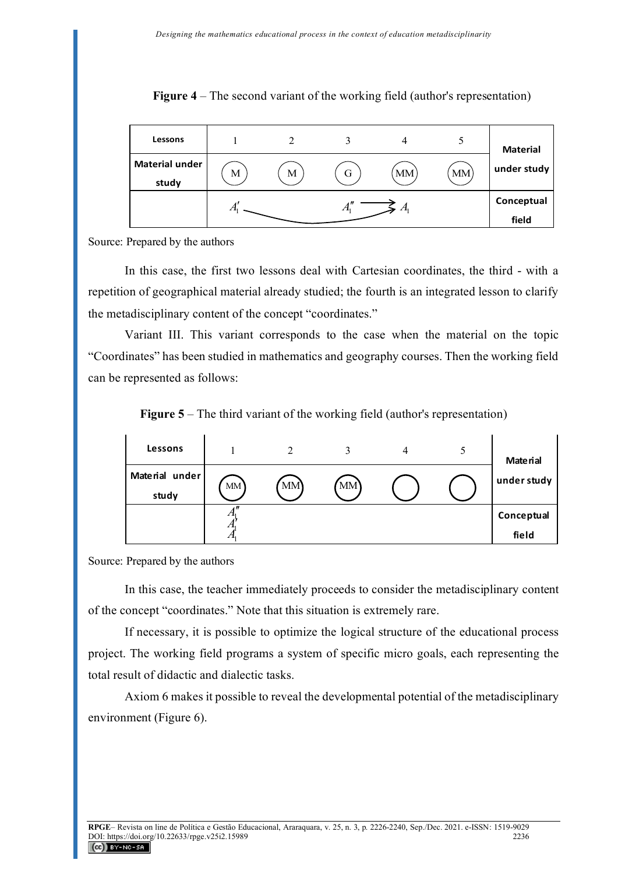| Lessons                        |   |   |       |           |    | <b>Material</b>     |
|--------------------------------|---|---|-------|-----------|----|---------------------|
| <b>Material under</b><br>study | M | М | G     | <b>MM</b> | MM | under study         |
|                                |   |   | $A_1$ | A,        |    | Conceptual<br>field |

**Figure 4** – The second variant of the working field (author's representation)

Source: Prepared by the authors

In this case, the first two lessons deal with Cartesian coordinates, the third - with a repetition of geographical material already studied; the fourth is an integrated lesson to clarify the metadisciplinary content of the concept "coordinates."

Variant III. This variant corresponds to the case when the material on the topic "Coordinates" has been studied in mathematics and geography courses. Then the working field can be represented as follows:

**Figure 5** – The third variant of the working field (author's representation)



Source: Prepared by the authors

In this case, the teacher immediately proceeds to consider the metadisciplinary content of the concept "coordinates." Note that this situation is extremely rare.

If necessary, it is possible to optimize the logical structure of the educational process project. The working field programs a system of specific micro goals, each representing the total result of didactic and dialectic tasks.

Axiom 6 makes it possible to reveal the developmental potential of the metadisciplinary environment (Figure 6).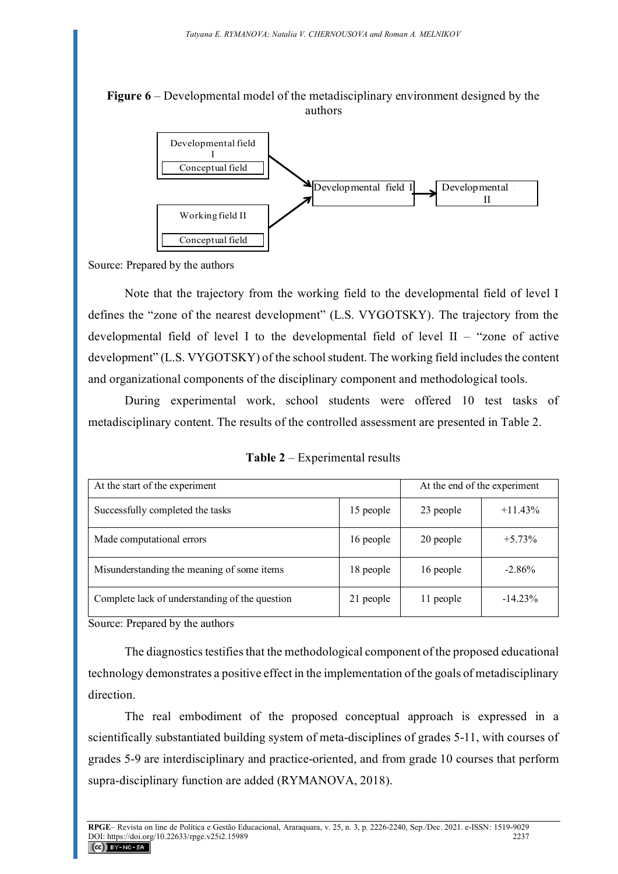## **Figure 6** – Developmental model of the metadisciplinary environment designed by the authors



Source: Prepared by the authors

Note that the trajectory from the working field to the developmental field of level I defines the "zone of the nearest development" (L.S. VYGOTSKY). The trajectory from the developmental field of level I to the developmental field of level II – "zone of active development" (L.S. VYGOTSKY) of the school student. The working field includes the content and organizational components of the disciplinary component and methodological tools.

During experimental work, school students were offered 10 test tasks of metadisciplinary content. The results of the controlled assessment are presented in Table 2.

**Table 2** – Experimental results

| At the start of the experiment                 | At the end of the experiment |           |            |
|------------------------------------------------|------------------------------|-----------|------------|
| Successfully completed the tasks               | 15 people                    | 23 people | $+11.43\%$ |
| Made computational errors                      | 16 people                    | 20 people | $+5.73%$   |
| Misunderstanding the meaning of some items     | 18 people                    | 16 people | $-2.86%$   |
| Complete lack of understanding of the question | 21 people                    | 11 people | $-14.23%$  |

Source: Prepared by the authors

The diagnostics testifies that the methodological component of the proposed educational technology demonstrates a positive effect in the implementation of the goals of metadisciplinary direction.

The real embodiment of the proposed conceptual approach is expressed in a scientifically substantiated building system of meta-disciplines of grades 5-11, with courses of grades 5-9 are interdisciplinary and practice-oriented, and from grade 10 courses that perform supra-disciplinary function are added (RYMANOVA, 2018).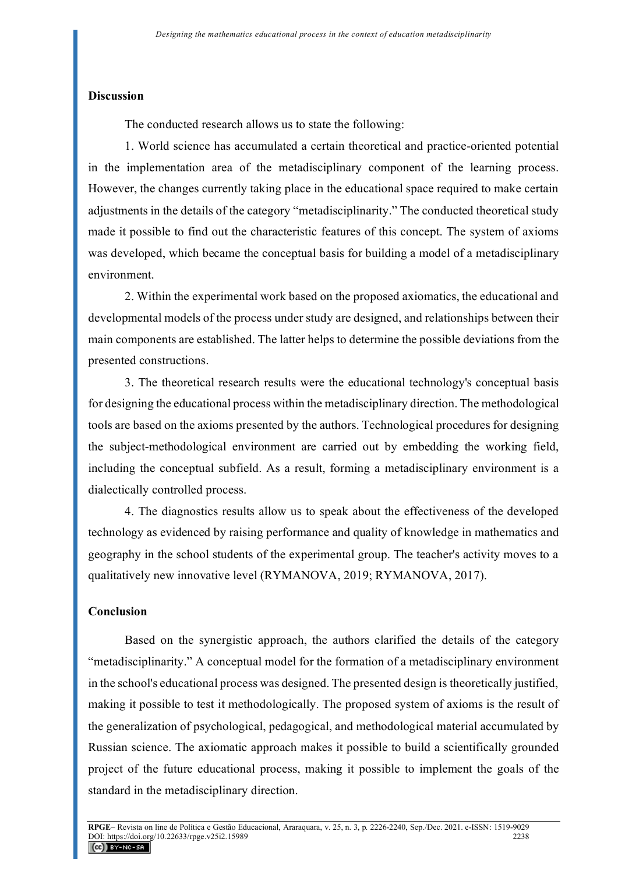#### **Discussion**

The conducted research allows us to state the following:

1. World science has accumulated a certain theoretical and practice-oriented potential in the implementation area of the metadisciplinary component of the learning process. However, the changes currently taking place in the educational space required to make certain adjustments in the details of the category "metadisciplinarity." The conducted theoretical study made it possible to find out the characteristic features of this concept. The system of axioms was developed, which became the conceptual basis for building a model of a metadisciplinary environment.

2. Within the experimental work based on the proposed axiomatics, the educational and developmental models of the process under study are designed, and relationships between their main components are established. The latter helps to determine the possible deviations from the presented constructions.

3. The theoretical research results were the educational technology's conceptual basis for designing the educational process within the metadisciplinary direction. The methodological tools are based on the axioms presented by the authors. Technological procedures for designing the subject-methodological environment are carried out by embedding the working field, including the conceptual subfield. As a result, forming a metadisciplinary environment is a dialectically controlled process.

4. The diagnostics results allow us to speak about the effectiveness of the developed technology as evidenced by raising performance and quality of knowledge in mathematics and geography in the school students of the experimental group. The teacher's activity moves to a qualitatively new innovative level (RYMANOVA, 2019; RYMANOVA, 2017).

## **Conclusion**

Based on the synergistic approach, the authors clarified the details of the category "metadisciplinarity." A conceptual model for the formation of a metadisciplinary environment in the school's educational process was designed. The presented design is theoretically justified, making it possible to test it methodologically. The proposed system of axioms is the result of the generalization of psychological, pedagogical, and methodological material accumulated by Russian science. The axiomatic approach makes it possible to build a scientifically grounded project of the future educational process, making it possible to implement the goals of the standard in the metadisciplinary direction.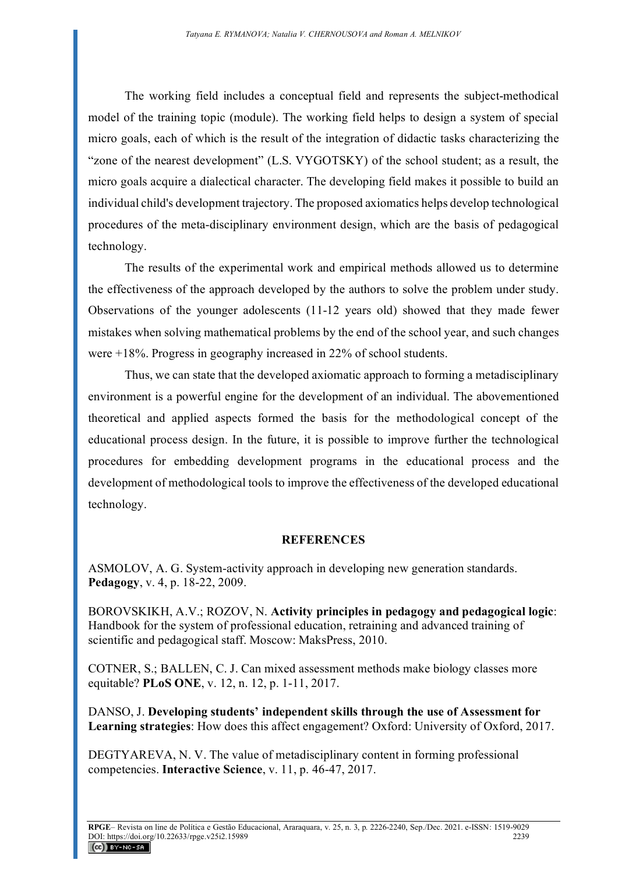The working field includes a conceptual field and represents the subject-methodical model of the training topic (module). The working field helps to design a system of special micro goals, each of which is the result of the integration of didactic tasks characterizing the "zone of the nearest development" (L.S. VYGOTSKY) of the school student; as a result, the micro goals acquire a dialectical character. The developing field makes it possible to build an individual child's development trajectory. The proposed axiomatics helps develop technological procedures of the meta-disciplinary environment design, which are the basis of pedagogical technology.

The results of the experimental work and empirical methods allowed us to determine the effectiveness of the approach developed by the authors to solve the problem under study. Observations of the younger adolescents (11-12 years old) showed that they made fewer mistakes when solving mathematical problems by the end of the school year, and such changes were +18%. Progress in geography increased in 22% of school students.

Thus, we can state that the developed axiomatic approach to forming a metadisciplinary environment is a powerful engine for the development of an individual. The abovementioned theoretical and applied aspects formed the basis for the methodological concept of the educational process design. In the future, it is possible to improve further the technological procedures for embedding development programs in the educational process and the development of methodological tools to improve the effectiveness of the developed educational technology.

## **REFERENCES**

ASMOLOV, A. G. System-activity approach in developing new generation standards. **Pedagogy**, v. 4, p. 18-22, 2009.

BOROVSKIKH, A.V.; ROZOV, N. **Activity principles in pedagogy and pedagogical logic**: Handbook for the system of professional education, retraining and advanced training of scientific and pedagogical staff. Moscow: MaksPress, 2010.

COTNER, S.; BALLEN, C. J. Can mixed assessment methods make biology classes more equitable? **PLoS ONE**, v. 12, n. 12, p. 1-11, 2017.

DANSO, J. **Developing students' independent skills through the use of Assessment for Learning strategies**: How does this affect engagement? Oxford: University of Oxford, 2017.

DEGTYAREVA, N. V. The value of metadisciplinary content in forming professional competencies. **Interactive Science**, v. 11, p. 46-47, 2017.